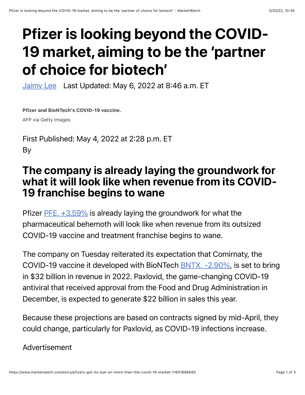## Pfizer is looking beyond the COVID-19 market, aiming to be the 'partner of choice for biotech'

[Jaimy Lee](https://www.marketwatch.com/topics/journalists/jaimy-lee) Last Updated: May 6, 2022 at 8:46 a.m. ET

Pfizer and BioNTech's COVID-19 vaccine.

AFP via Getty Images

First Published: May 4, 2022 at 2:28 p.m. ET By

## The company is already laying the groundwork for what it will look like when revenue from its COVID-19 franchise begins to wane

Pfizer  $PFE$ ,  $+3.59\%$  is already laying the groundwork for what the pharmaceutical behemoth will look like when revenue from its outsized COVID-19 vaccine and treatment franchise begins to wane.

The company on Tuesday reiterated its expectation that Comirnaty, the COVID-19 vaccine it developed with BioNTech [BNTX, -2.90%,](https://www.marketwatch.com/investing/stock/BNTX?mod=MW_story_quote) is set to bring in \$32 billion in revenue in 2022. Paxlovid, the game-changing COVID-19 antiviral that received approval from the Food and Drug Administration in December, is expected to generate \$22 billion in sales this year.

Because these projections are based on contracts signed by mid-April, they could change, particularly for Paxlovid, as COVID-19 infections increase.

Advertisement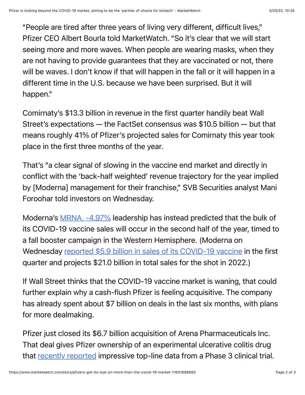"People are tired after three years of living very different, difficult lives," Pfizer CEO Albert Bourla told MarketWatch. "So it's clear that we will start seeing more and more waves. When people are wearing masks, when they are not having to provide guarantees that they are vaccinated or not, there will be waves. I don't know if that will happen in the fall or it will happen in a different time in the U.S. because we have been surprised. But it will happen."

Comirnaty's \$13.3 billion in revenue in the first quarter handily beat Wall Street's expectations — the FactSet consensus was \$10.5 billion — but that means roughly 41% of Pfizer's projected sales for Comirnaty this year took place in the first three months of the year.

That's "a clear signal of slowing in the vaccine end market and directly in conflict with the 'back-half weighted' revenue trajectory for the year implied by [Moderna] management for their franchise," SVB Securities analyst Mani Foroohar told investors on Wednesday.

Moderna's [MRNA, -4.97%](https://www.marketwatch.com/investing/stock/MRNA?mod=MW_story_quote) leadership has instead predicted that the bulk of its COVID-19 vaccine sales will occur in the second half of the year, timed to a fall booster campaign in the Western Hemisphere. (Moderna on Wednesday reported \$[5.9 billion in sales of its COVID-19 vaccine](https://www.marketwatch.com/story/modernas-stock-soars-8-after-beating-revenue-earnings-expectations-for-the-quarter-2022-05-04?mod=mw_quote_news&mod=article_inline) in the first quarter and projects \$21.0 billion in total sales for the shot in 2022.)

If Wall Street thinks that the COVID-19 vaccine market is waning, that could further explain why a cash-flush Pfizer is feeling acquisitive. The company has already spent about \$7 billion on deals in the last six months, with plans for more dealmaking.

Pfizer just closed its \$6.7 billion acquisition of Arena Pharmaceuticals Inc. That deal gives Pfizer ownership of an experimental ulcerative colitis drug that [recently reported](https://www.marketwatch.com/story/pfizers-new-ulcerative-colitis-drug-improves-clinical-remission-rates-in-phase-3-study-2022-03-23?mod=article_inline) impressive top-line data from a Phase 3 clinical trial.